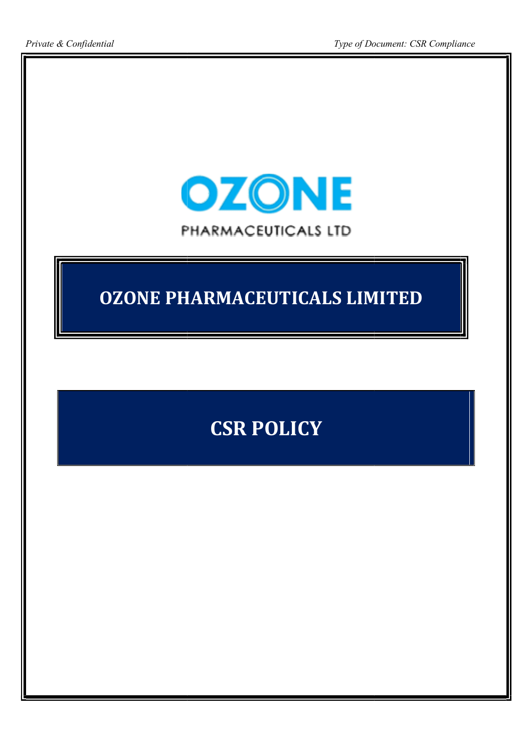

## OZONE PHARMACEUTICALS LIMITED LIMITED

## CSR POLICY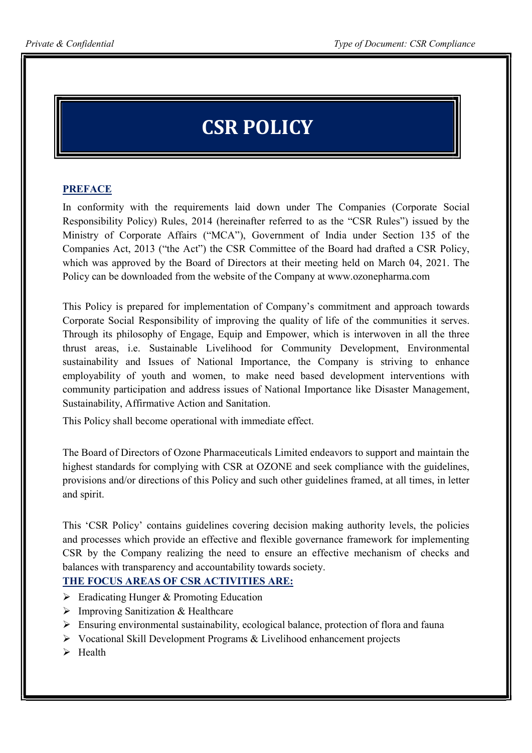# CSR POLICY

## **PREFACE**

In conformity with the requirements laid down under The Companies (Corporate Social Responsibility Policy) Rules, 2014 (hereinafter referred to as the "CSR Rules") issued by the Ministry of Corporate Affairs ("MCA"), Government of India under Section 135 of the Companies Act, 2013 ("the Act") the CSR Committee of the Board had drafted a CSR Policy, which was approved by the Board of Directors at their meeting held on March 04, 2021. The Policy can be downloaded from the website of the Company at www.ozonepharma.com

This Policy is prepared for implementation of Company's commitment and approach towards Corporate Social Responsibility of improving the quality of life of the communities it serves. Through its philosophy of Engage, Equip and Empower, which is interwoven in all the three thrust areas, i.e. Sustainable Livelihood for Community Development, Environmental sustainability and Issues of National Importance, the Company is striving to enhance employability of youth and women, to make need based development interventions with community participation and address issues of National Importance like Disaster Management, Sustainability, Affirmative Action and Sanitation.

This Policy shall become operational with immediate effect.

The Board of Directors of Ozone Pharmaceuticals Limited endeavors to support and maintain the highest standards for complying with CSR at OZONE and seek compliance with the guidelines, provisions and/or directions of this Policy and such other guidelines framed, at all times, in letter and spirit.

This 'CSR Policy' contains guidelines covering decision making authority levels, the policies and processes which provide an effective and flexible governance framework for implementing CSR by the Company realizing the need to ensure an effective mechanism of checks and balances with transparency and accountability towards society.

### THE FOCUS AREAS OF CSR ACTIVITIES ARE:

- $\triangleright$  Eradicating Hunger & Promoting Education
- $\triangleright$  Improving Sanitization & Healthcare
- $\triangleright$  Ensuring environmental sustainability, ecological balance, protection of flora and fauna
- $\triangleright$  Vocational Skill Development Programs & Livelihood enhancement projects
- $\triangleright$  Health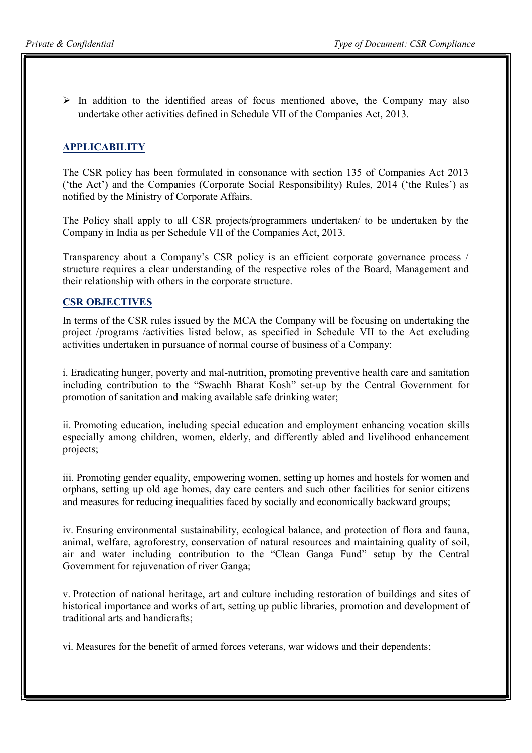$\triangleright$  In addition to the identified areas of focus mentioned above, the Company may also undertake other activities defined in Schedule VII of the Companies Act, 2013.

## APPLICABILITY

The CSR policy has been formulated in consonance with section 135 of Companies Act 2013 ('the Act') and the Companies (Corporate Social Responsibility) Rules, 2014 ('the Rules') as notified by the Ministry of Corporate Affairs.

The Policy shall apply to all CSR projects/programmers undertaken/ to be undertaken by the Company in India as per Schedule VII of the Companies Act, 2013.

Transparency about a Company's CSR policy is an efficient corporate governance process / structure requires a clear understanding of the respective roles of the Board, Management and their relationship with others in the corporate structure.

#### CSR OBJECTIVES

In terms of the CSR rules issued by the MCA the Company will be focusing on undertaking the project /programs /activities listed below, as specified in Schedule VII to the Act excluding activities undertaken in pursuance of normal course of business of a Company:

i. Eradicating hunger, poverty and mal-nutrition, promoting preventive health care and sanitation including contribution to the "Swachh Bharat Kosh" set-up by the Central Government for promotion of sanitation and making available safe drinking water;

ii. Promoting education, including special education and employment enhancing vocation skills especially among children, women, elderly, and differently abled and livelihood enhancement projects;

iii. Promoting gender equality, empowering women, setting up homes and hostels for women and orphans, setting up old age homes, day care centers and such other facilities for senior citizens and measures for reducing inequalities faced by socially and economically backward groups;

iv. Ensuring environmental sustainability, ecological balance, and protection of flora and fauna, animal, welfare, agroforestry, conservation of natural resources and maintaining quality of soil, air and water including contribution to the "Clean Ganga Fund" setup by the Central Government for rejuvenation of river Ganga;

v. Protection of national heritage, art and culture including restoration of buildings and sites of historical importance and works of art, setting up public libraries, promotion and development of traditional arts and handicrafts;

vi. Measures for the benefit of armed forces veterans, war widows and their dependents;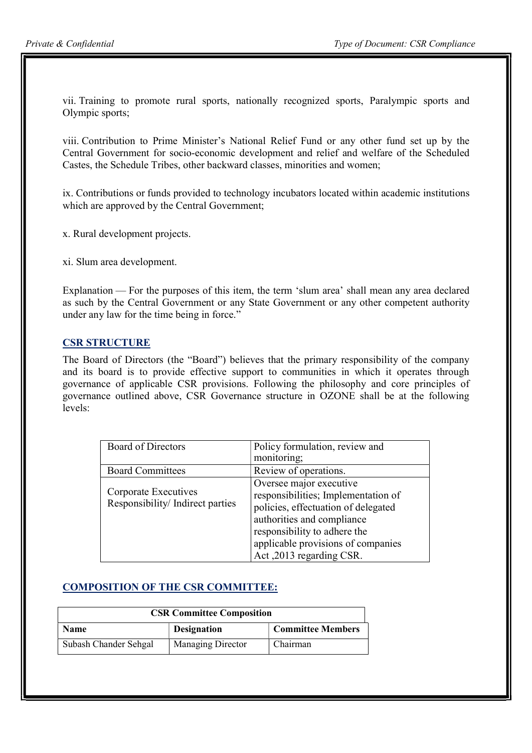vii. Training to promote rural sports, nationally recognized sports, Paralympic sports and Olympic sports;

viii. Contribution to Prime Minister's National Relief Fund or any other fund set up by the Central Government for socio-economic development and relief and welfare of the Scheduled Castes, the Schedule Tribes, other backward classes, minorities and women;

ix. Contributions or funds provided to technology incubators located within academic institutions which are approved by the Central Government;

x. Rural development projects.

xi. Slum area development.

Explanation — For the purposes of this item, the term 'slum area' shall mean any area declared as such by the Central Government or any State Government or any other competent authority under any law for the time being in force."

#### CSR STRUCTURE

The Board of Directors (the "Board") believes that the primary responsibility of the company and its board is to provide effective support to communities in which it operates through governance of applicable CSR provisions. Following the philosophy and core principles of governance outlined above, CSR Governance structure in OZONE shall be at the following levels:

| <b>Board of Directors</b>                               | Policy formulation, review and                                                                                                                                                                                                        |
|---------------------------------------------------------|---------------------------------------------------------------------------------------------------------------------------------------------------------------------------------------------------------------------------------------|
|                                                         | monitoring;                                                                                                                                                                                                                           |
| <b>Board Committees</b>                                 | Review of operations.                                                                                                                                                                                                                 |
| Corporate Executives<br>Responsibility/Indirect parties | Oversee major executive<br>responsibilities; Implementation of<br>policies, effectuation of delegated<br>authorities and compliance<br>responsibility to adhere the<br>applicable provisions of companies<br>Act, 2013 regarding CSR. |

### COMPOSITION OF THE CSR COMMITTEE:

| <b>CSR Committee Composition</b> |                          |                          |  |
|----------------------------------|--------------------------|--------------------------|--|
| <b>Name</b>                      | <b>Designation</b>       | <b>Committee Members</b> |  |
| Subash Chander Sehgal            | <b>Managing Director</b> | Chairman                 |  |